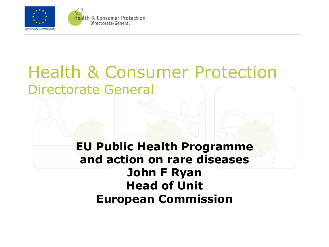

#### Health & Consumer Protection Directorate General

#### **EU Public Health Programme and action on rare diseases John F Ryan Head of Unit European Commission**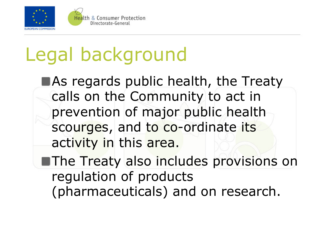

## Legal background

As regards public health, the Treaty calls on the Community to act in prevention of major public health scourges, and to co-ordinate its activity in this area.

**The Treaty also includes provisions on** regulation of products (pharmaceuticals) and on research.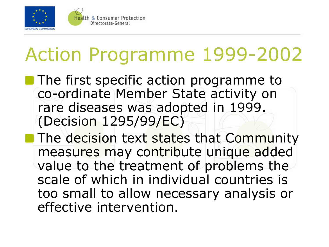

**The first specific action programme to** co-ordinate Member State activity on rare diseases was adopted in 1999. (Decision 1295/99/EC)

**The decision text states that Community** measures may contribute unique added value to the treatment of problems the scale of which in individual countries is too small to allow necessary analysis or effective intervention.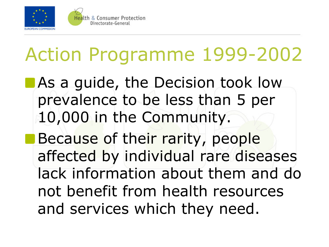

**As a guide, the Decision took low** prevalence to be less than 5 per 10,000 in the Community. **Because of their rarity, people** affected by individual rare diseases lack information about them and do not benefit from health resources and services which they need.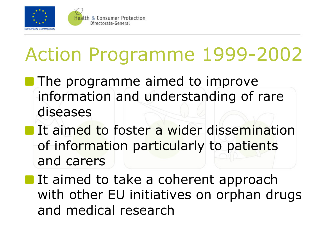

Directorate-General

## Action Programme 1999-2002

- **The programme aimed to improve** information and understanding of rare diseases
- **If aimed to foster a wider dissemination** of information particularly to patients and carers

It aimed to take a coherent approach with other EU initiatives on orphan drugs and medical research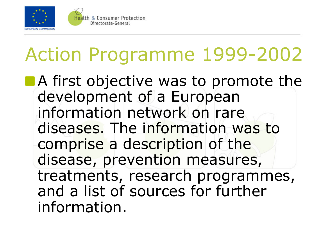

**A** first objective was to promote the development of a European information network on rare diseases. The information was to comprise a description of the disease, prevention measures, treatments, research programmes, and a list of sources for further information.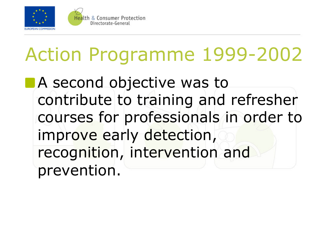

**A** second objective was to contribute to training and refresher courses for professionals in order to improve early detection, recognition, intervention and prevention.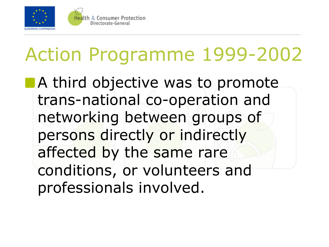

**A third objective was to promote** trans-national co-operation and networking between groups of persons directly or indirectly affected by the same rare conditions, or volunteers and professionals involved.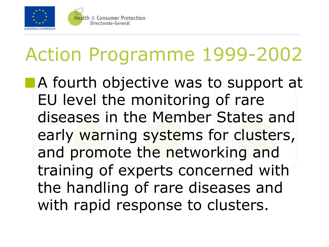

A fourth objective was to support at EU level the monitoring of rare diseases in the Member States and early warning systems for clusters, and promote the networking and training of experts concerned with the handling of rare diseases and with rapid response to clusters.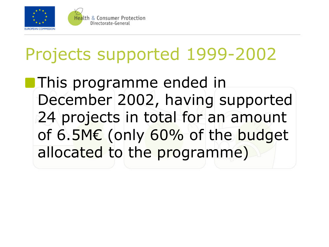

### Projects supported 1999-2002

**This programme ended in** December 2002, having supported 24 projects in total for an amount of 6.5M€ (only 60% of the budget allocated to the programme)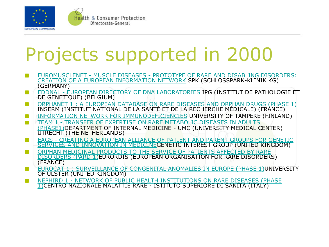

# Projects supported in 2000

- EUROMUSCLENET MUSCLE DISEASES PROTOTYPE OF RARE AND DISABLING DISORDERS: CREATION OF A EUROPEAN INFORMATION NETWORK SPK (SCHLOSSPARK-KLINIK KG) (GERMANY)
- EDDNAL EUROPEAN DIRECTORY OF DNA LABORATORIES IPG (INSTITUT DE PATHOLOGIE ET DE GENETIQUE) (BELGIUM)
- ORPHANET 1 : A EUROPEAN DATABASE ON RARE DISEASES AND ORPHAN DRUGS (PHASE 1) INSERM (INSTITUT NATIONAL DE LA SANTÉ ET DE LA RECHERCHE MÉDICALE) (FRANCE)
- INFORMATION NETWORK FOR IMMUNODEFICIENCIES UNIVERSITY OF TAMPERE (FINLAND)
- TEAM 1 TRANSFER OF EXPERTISE ON RARE METABOLIC DISEASES IN ADULTS <mark>(PHASE1)</mark>DEPARTMENT OF INTERNAL MEDICINE - UMC (UNIVERSITY MEDICAL CENTER)<br>UTRECHT (THE NETHERLANDS)
- EAGS CREATING A EUROPEAN ALLIANCE OF PATIENT AND PARENT GROUPS FOR GENETIC SERVICES AND INNOVATION IN MEDICINEGENETIC INTEREST GROUP (UNITED KINGDOM)
- ORPHAN MEDICINAL PRODUCTS TO THE SERVICE OF PATIENTS AFFECTED BY RARE DISORDERS (PARD 1)EURORDIS (EUROPEAN ORGANISATION FOR RARE DISORDERS) (FRANCE)
- EUROCAT 1 : SURVEILLANCE OF CONGENITAL ANOMALIES IN EUROPE (PHASE 1)UNIVERSITY OF ULSTER (UNITED KINGDOM)
- NEPHIRD 1 NETWORK OF PUBLIC HEALTH INSTITUTIONS ON RARE DISEASES (PHASE 1)CENTRO NAZIONALE MALATTIE RARE - ISTITUTO SUPERIORE DI SANITA (ITALY)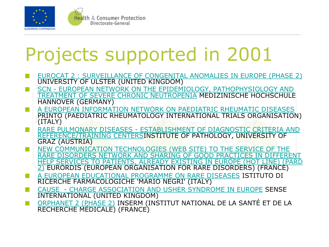

# Projects supported in 2001

- EUROCAT 2 : SURVEILLANCE OF CONGENITAL ANOMALIES IN EUROPE (PHASE 2) UNIVERSITY OF ULSTER (UNITED KINGDOM)
- SCN EUROPEAN NETWORK ON THE EPIDEMIOLOGY, PATHOPHYSIOLOGY AND TREATMENT OF SEVERE CHRONIC NEUTROPENIA MEDIZINISCHE HOCHSCHULE HANNOVER (GERMANY)
- A EUROPEAN INFORMATION NETWORK ON PAEDIATRIC RHEUMATIC DISEASES PRINTO (PAEDIATRIC RHEUMATOLOGY INTERNATIONAL TRIALS ORGANISATION) (ITALY)
- RARE PULMONARY DISEASES ESTABLISHMENT OF DIAGNOSTIC CRITERIA AND REFERENCE/TRAINING CENTERSINSTITUTE OF PATHOLOGY, UNIVERSITY OF<br>GRAZ (AUSTRIA)
- NEW COMMUNICATION TECHNOLOGIES (WEB SITE) TO THE SERVICE OF THE RARE DISORDERS NETWORK AND SHARING OF GOOD PRACTICES IN DIFFERENT HELP SERVICES TO PATIENTS, ALREADY EXISTING IN EUROPE (HOT LINE) (PARD 2) EURORDIS (EUROPEAN ORGANISATION FOR RARE DISORDERS) (FRANCE)
- A EUROPEAN EDUCATIONAL PROGRAMME ON RARE DISEASES ISTITUTO DI RICERCHE FARMACOLOGICHE 'MARIO NEGRI' (ITALY)
- CAUSE CHARGE ASSOCIATION AND USHER SYNDROME IN EUROPE SENSE INTERNATIONAL (UNITED KINGDOM)
- ORPHANET 2 (PHASE 2) INSERM (INSTITUT NATIONAL DE LA SANTÉ ET DE LA RECHERCHE MÉDICALE) (FRANCE) **The Second Second**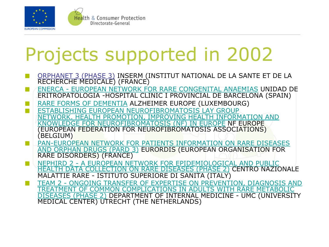

# Projects supported in 2002

- ORPHANET 3 (PHASE 3) INSERM (INSTITUT NATIONAL DE LA SANTE ET DE LA RECHERCHE MEDICALE) (FRANCE)
- ENERCA EUROPEAN NETWORK FOR RARE CONGENITAL ANAEMIAS UNIDAD DE ERITROPATOLOGIA -HOSPITAL CLINIC I PROVINCIAL DE BARCELONA (SPAIN)
- RARE FORMS OF DEMENTIA ALZHEIMER EUROPE (LUXEMBOURG)
- ESTABLISHING EUROPEAN NEUROFIBROMATOSIS LAY GROUP **The Second Second** WORK. HEALTH PROMOTION, IMPROVING HEALTH INFORMATION AND KNOWLEDGE FOR NEUROFIBROMATOSIS (NF) IN EUROPE NF EUROPE (EUROPEAN FEDERATION FOR NEUROFIBROMATOSIS ASSOCIATIONS) (BELGIUM)
- PAN-EUROPEAN NETWORK FOR PATIENTS INFORMATION ON RARE DISEASES AND ORPHAN DRUGS (PARD 3) EURORDIS (EUROPEAN ORGANISATION FOR RARE DISORDERS) (FRANCE)
- NEPHIRD 2 A EUROPEAN NETWORK FOR EPIDEMIOLOGICAL AND PUBLIC  $\mathbb{R}^n$ HEALTH DATA COLLECTION ON RARE DISEASES (PHASE 2) CENTRO NAZIONALE MALATTIE RARE - ISTITUTO SUPERIORE DI SANITA (ITALY)
- TEAM 2 ONGOING TRANSFER OF EXPERTISE ON PREVENTION, DIAGNOSIS AND TREATMENT OF COMMON COMPLICATIONS IN ADULTS WITH RARE METABOLIC DISEASES (PHASE 2) DEPARTMENT OF INTERNAL MEDICINE - UMC (UNIVERSITY MEDICAL CENTER) UTRECHT (THE NETHERLANDS)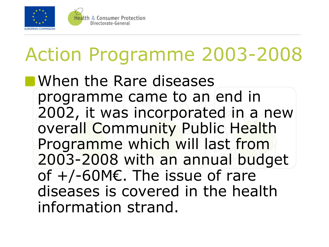

# Action Programme 2003-2008

**NH** When the Rare diseases programme came to an end in 2002, it was incorporated in a new overall Community Public Health Programme which will last from 2003-2008 with an annual budget of  $+/-60$ ME. The issue of rare diseases is covered in the health information strand.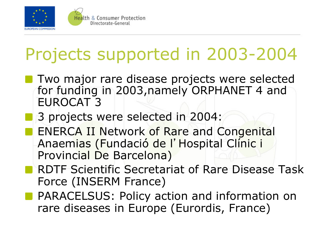

## Projects supported in 2003-2004

- **Two major rare disease projects were selected** for funding in 2003,namely ORPHANET 4 and EUROCAT 3
	- 3 projects were selected in 2004:

Directorate-General

- **ENERCA II Network of Rare and Congenital** Anaemias (Fundació de l'Hospital Clínic i Provincial De Barcelona)
- RDTF Scientific Secretariat of Rare Disease Task Force (INSERM France)
- **PARACELSUS: Policy action and information on** rare diseases in Europe (Eurordis, France)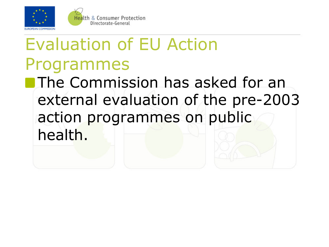

### Evaluation of EU Action Programmes **The Commission has asked for an** external evaluation of the pre-2003 action programmes on public health.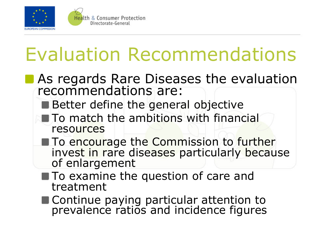

## Evaluation Recommendations

#### **As regards Rare Diseases the evaluation** recommendations are:

■ Better define the general objective

**Health & Consumer Protection** Directorate-General

- To match the ambitions with financial resources
- **To encourage the Commission to further** invest in rare diseases particularly because of enlargement
- To examine the question of care and treatment
- Continue paying particular attention to prevalence ratios and incidence figures